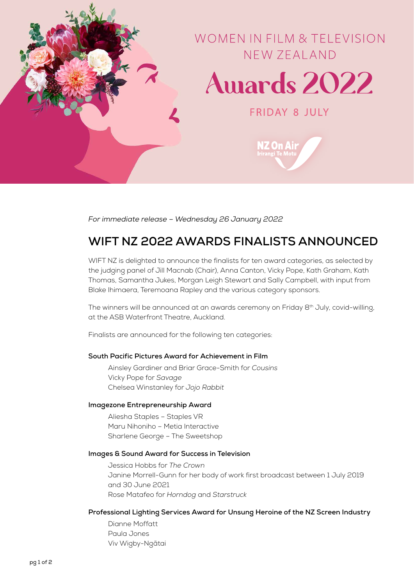

*For immediate release – Wednesday 26 January 2022*

# **WIFT NZ 2022 AWARDS FINALISTS ANNOUNCED**

WIFT NZ is delighted to announce the finalists for ten award categories, as selected by the judging panel of Jill Macnab (Chair), Anna Canton, Vicky Pope, Kath Graham, Kath Thomas, Samantha Jukes, Morgan Leigh Stewart and Sally Campbell, with input from Blake Ihimaera, Teremoana Rapley and the various category sponsors.

The winners will be announced at an awards ceremony on Friday 8<sup>th</sup> July, covid-willing, at the ASB Waterfront Theatre, Auckland.

Finalists are announced for the following ten categories:

# **South Pacific Pictures Award for Achievement in Film**

Ainsley Gardiner and Briar Grace-Smith for *Cousins* Vicky Pope for *Savage* Chelsea Winstanley for *Jojo Rabbit*

#### **Imagezone Entrepreneurship Award**

Aliesha Staples – Staples VR Maru Nihoniho – Metia Interactive Sharlene George – The Sweetshop

## **Images & Sound Award for Success in Television**

Jessica Hobbs for *The Crown* Janine Morrell-Gunn for her body of work first broadcast between 1 July 2019 and 30 June 2021 Rose Matafeo for *Horndog* and *Starstruck*

#### **Professional Lighting Services Award for Unsung Heroine of the NZ Screen Industry**

Dianne Moffatt Paula Jones Viv Wigby-Ngātai